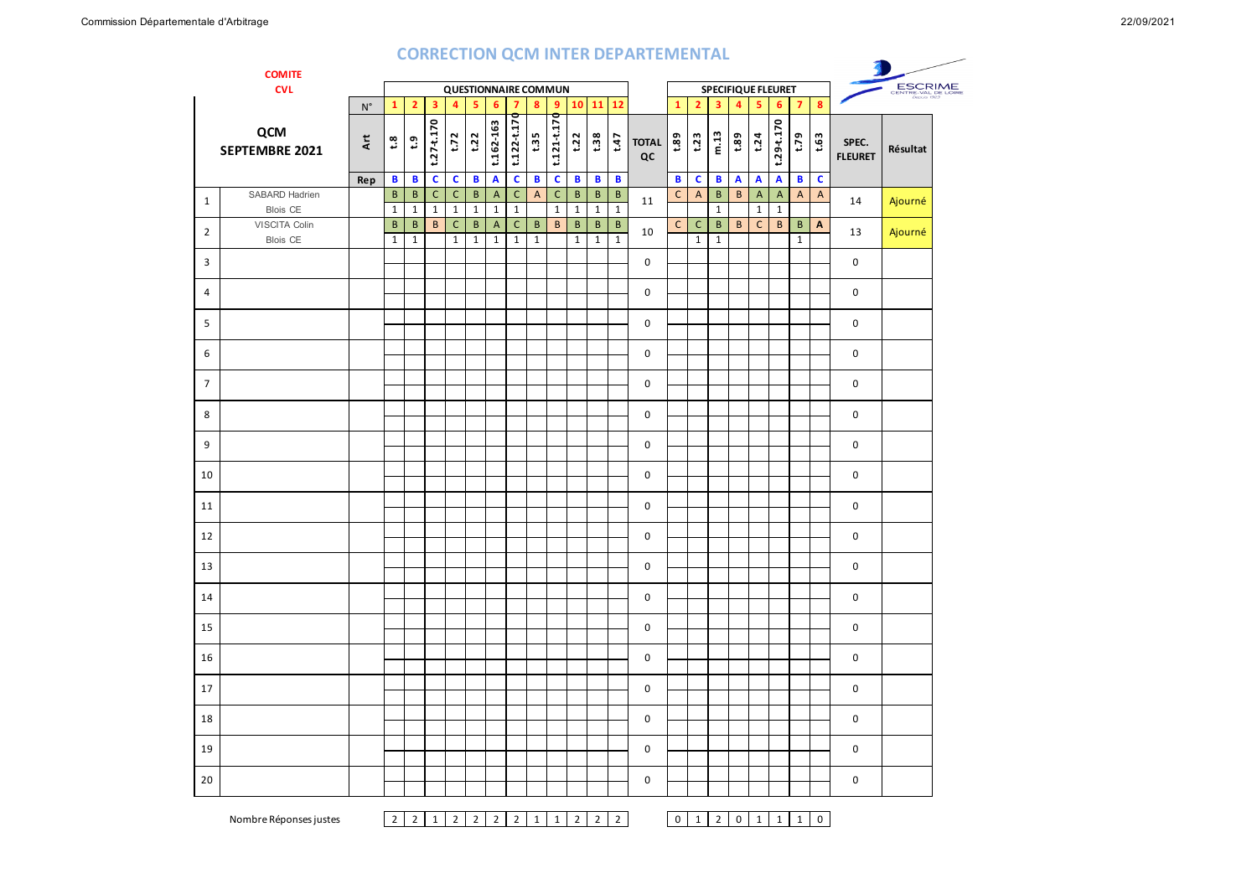## **CORRECTION QCM INTER DEPARTEMENTAL**

|                | <b>CORRECTION QUIVITINTER DEPARTEMENTAL</b><br><b>COMITE</b> |                           |                          |                                                          |                              |                             |                       |                                |                              |                             |                             |                               |                                 |                            |                    |                                |                              |                                 |                         |                                |                                |                              |                  |                         |          |
|----------------|--------------------------------------------------------------|---------------------------|--------------------------|----------------------------------------------------------|------------------------------|-----------------------------|-----------------------|--------------------------------|------------------------------|-----------------------------|-----------------------------|-------------------------------|---------------------------------|----------------------------|--------------------|--------------------------------|------------------------------|---------------------------------|-------------------------|--------------------------------|--------------------------------|------------------------------|------------------|-------------------------|----------|
|                | <b>CVL</b>                                                   |                           |                          | <b>QUESTIONNAIRE COMMUN</b><br><b>SPECIFIQUE FLEURET</b> |                              |                             |                       |                                |                              |                             |                             |                               |                                 |                            |                    | ESCRIME<br>CENTRE-VAL DE LOIRE |                              |                                 |                         |                                |                                |                              |                  |                         |          |
|                |                                                              | $\mathsf{N}^\circ$        | $\mathbf{1}$             | $\overline{2}$                                           | $\overline{\mathbf{3}}$      | $\overline{4}$              | 5                     | 6                              | $\overline{7}$               | $\bf{8}$                    | 9 <sup>°</sup>              |                               | $10$ $11$ $12$                  |                            |                    | $\mathbf{1}$                   | 2 <sup>1</sup>               | $\overline{\mathbf{3}}$         | $\overline{4}$          | 5                              | 6                              | $\overline{7}$               | $\boldsymbol{8}$ |                         |          |
|                | QCM<br>SEPTEMBRE 2021                                        | $\pmb{\ddot{\mathsf{x}}}$ | $\mathbf{S}^{\bullet}$   | $\mathfrak{S}$                                           | $t.27 - t.170$               | t.72                        | t.22                  | t.162-163                      | t.122-t.170                  | t.35                        | t.121-t.170                 | t.22                          | t.38                            | t.47                       | <b>TOTAL</b><br>QC | 68.1                           | t.23                         | m.13                            | 681                     | t.24                           | $t.29 - t.170$                 | 62.7                         | t.63             | SPEC.<br><b>FLEURET</b> | Résultat |
|                |                                                              | Rep                       | $\mathbf B$              | $\mathbf B$                                              | $\mathbf c$                  | $\mathbf{C}$                | $\mathbf{B}$          | $\boldsymbol{\mathsf{A}}$      | $\mathbf{c}$                 | $\mathbf{B}$                | $\mathbf c$                 | $\mathbf{B}$                  | B                               | $\mathbf B$                |                    | B                              | c                            | $\mathbf{B}$                    | $\overline{\mathbf{A}}$ | $\overline{\mathbf{A}}$        | $\mathbf{A}$                   | B                            | $\mathbf c$      |                         |          |
| $\mathbf{1}$   | SABARD Hadrien<br>Blois CE                                   |                           | $\sf B$<br>$\mathbf 1$   | $\, {\bf B}$<br>$\mathbf{1}$                             | $\mathsf{C}$<br>$\mathbf{1}$ | $\mathsf C$<br>$\mathbf{1}$ | $\,$ B<br>$\mathbf 1$ | $\overline{A}$<br>$\mathbf{1}$ | $\mathsf{C}$<br>$\mathbf{1}$ | $\mathsf{A}$                | $\mathsf C$<br>$\mathbf{1}$ | $\, {\bf B}$<br>$\mathbf{1}$  | $\, {\bf B} \,$<br>$\mathbf{1}$ | $\sf B$<br>$\mathbf{1}$    | 11                 | $\mathsf{C}$                   | $\mathsf{A}$                 | $\, {\bf B} \,$<br>$\mathbf{1}$ | $\, {\bf B} \,$         | $\overline{A}$<br>$\mathbf{1}$ | $\overline{A}$<br>$\mathbf{1}$ | $\overline{A}$               | $\overline{A}$   | 14                      | Ajourné  |
| $\overline{2}$ | VISCITA Colin<br><b>Blois CE</b>                             |                           | $\sf{B}$<br>$\mathbf{1}$ | $\mathsf B$<br>$\mathbf{1}$                              | $\sf{B}$                     | $\mathsf{C}$<br>$\mathbf 1$ | B<br>$\mathbf 1$      | A<br>$\mathbf 1$               | $\mathsf{C}$<br>$\mathbf{1}$ | $\mathsf B$<br>$\mathbf{1}$ | $\mathsf{B}$                | $\mathsf B$<br>$\overline{1}$ | $\mathsf B$<br>$\overline{1}$   | $\sf{B}$<br>$\overline{1}$ | 10                 | $\mathsf{C}$                   | $\mathsf{C}$<br>$\mathbf{1}$ | $\mathsf{B}$<br>$\mathbf{1}$    | $\mathsf{B}$            | $\mathsf{C}$                   | $\mathsf{B}$                   | $\mathsf{B}$<br>$\mathbf{1}$ | $\mathbf{A}$     | 13                      | Ajourné  |
| 3              |                                                              |                           |                          |                                                          |                              |                             |                       |                                |                              |                             |                             |                               |                                 |                            | 0                  |                                |                              |                                 |                         |                                |                                |                              |                  | 0                       |          |
| $\overline{4}$ |                                                              |                           |                          |                                                          |                              |                             |                       |                                |                              |                             |                             |                               |                                 |                            | $\mathbf 0$        |                                |                              |                                 |                         |                                |                                |                              |                  | 0                       |          |
| 5              |                                                              |                           |                          |                                                          |                              |                             |                       |                                |                              |                             |                             |                               |                                 |                            | $\mathbf 0$        |                                |                              |                                 |                         |                                |                                |                              |                  | 0                       |          |
| 6              |                                                              |                           |                          |                                                          |                              |                             |                       |                                |                              |                             |                             |                               |                                 |                            | $\mathbf 0$        |                                |                              |                                 |                         |                                |                                |                              |                  | 0                       |          |
| $\overline{7}$ |                                                              |                           |                          |                                                          |                              |                             |                       |                                |                              |                             |                             |                               |                                 |                            | $\mathbf 0$        |                                |                              |                                 |                         |                                |                                |                              |                  | 0                       |          |
| 8              |                                                              |                           |                          |                                                          |                              |                             |                       |                                |                              |                             |                             |                               |                                 |                            | $\mathbf 0$        |                                |                              |                                 |                         |                                |                                |                              |                  | $\Omega$                |          |
| 9              |                                                              |                           |                          |                                                          |                              |                             |                       |                                |                              |                             |                             |                               |                                 |                            | $\mathbf 0$        |                                |                              |                                 |                         |                                |                                |                              |                  | 0                       |          |
| 10             |                                                              |                           |                          |                                                          |                              |                             |                       |                                |                              |                             |                             |                               |                                 |                            | $\mathbf 0$        |                                |                              |                                 |                         |                                |                                |                              |                  | $\mathbf 0$             |          |
| 11             |                                                              |                           |                          |                                                          |                              |                             |                       |                                |                              |                             |                             |                               |                                 |                            | $\mathbf 0$        |                                |                              |                                 |                         |                                |                                |                              |                  | 0                       |          |
| 12             |                                                              |                           |                          |                                                          |                              |                             |                       |                                |                              |                             |                             |                               |                                 |                            | $\mathbf 0$        |                                |                              |                                 |                         |                                |                                |                              |                  | 0                       |          |
| 13             |                                                              |                           |                          |                                                          |                              |                             |                       |                                |                              |                             |                             |                               |                                 |                            | $\mathbf 0$        |                                |                              |                                 |                         |                                |                                |                              |                  | 0                       |          |
| 14             |                                                              |                           |                          |                                                          |                              |                             |                       |                                |                              |                             |                             |                               |                                 |                            | 0                  |                                |                              |                                 |                         |                                |                                |                              |                  | 0                       |          |
| 15             |                                                              |                           |                          |                                                          |                              |                             |                       |                                |                              |                             |                             |                               |                                 |                            | 0                  |                                |                              |                                 |                         |                                |                                |                              |                  | $\mathbf 0$             |          |
| 16             |                                                              |                           |                          |                                                          |                              |                             |                       |                                |                              |                             |                             |                               |                                 |                            | 0                  |                                |                              |                                 |                         |                                |                                |                              |                  | 0                       |          |
| 17             |                                                              |                           |                          |                                                          |                              |                             |                       |                                |                              |                             |                             |                               |                                 |                            | $\mathbf 0$        |                                |                              |                                 |                         |                                |                                |                              |                  | 0                       |          |
| 18             |                                                              |                           |                          |                                                          |                              |                             |                       |                                |                              |                             |                             |                               |                                 |                            | $\mathbf 0$        |                                |                              |                                 |                         |                                |                                |                              |                  | 0                       |          |
| 19             |                                                              |                           |                          |                                                          |                              |                             |                       |                                |                              |                             |                             |                               |                                 |                            | $\mathsf 0$        |                                |                              |                                 |                         |                                |                                |                              |                  | 0                       |          |
| 20             |                                                              |                           |                          |                                                          |                              |                             |                       |                                |                              |                             |                             |                               |                                 |                            | $\mathsf 0$        |                                |                              |                                 |                         |                                |                                |                              |                  | 0                       |          |

Nombre Réponses justes 2 2 2 2 2 2 2 2 2 2 2 2 2 0 1 2 0 1 1 0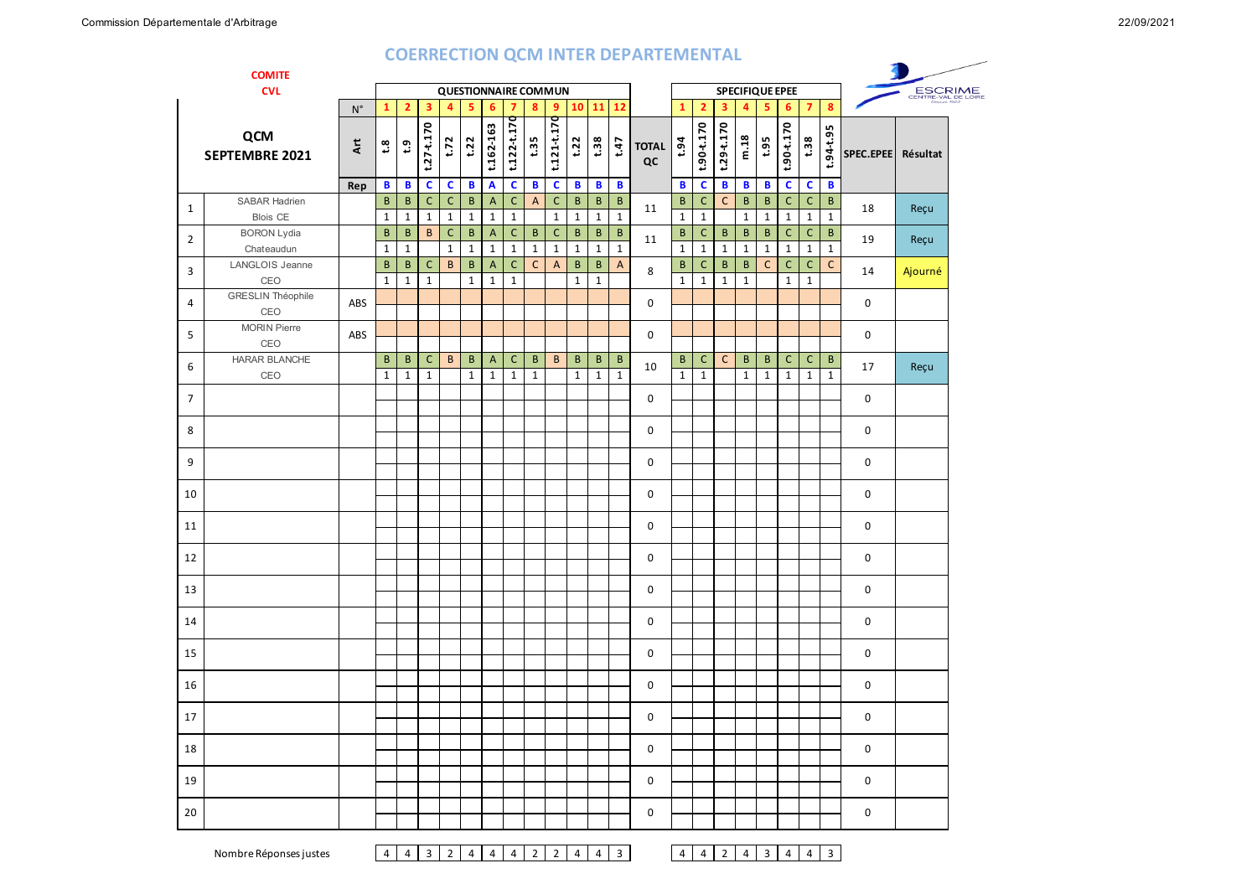## **COERRECTION QCM INTER DEPARTEMENTAL**

|                | <b>COMITE</b>                           |                    |                          |                   |                              |                              |                         |                                |                             |                              |                                           |                          |                   |                                 | <u> 888 - Anii 890 - Anii 800 - Anii 800 - Anii 800 - Anii 800 - Anii 800 - Anii 800 - Anii 800 - Anii 800 - Anii</u> |                              |                              |                         |                         |                              |                              |                              |                                |             |          |  |
|----------------|-----------------------------------------|--------------------|--------------------------|-------------------|------------------------------|------------------------------|-------------------------|--------------------------------|-----------------------------|------------------------------|-------------------------------------------|--------------------------|-------------------|---------------------------------|-----------------------------------------------------------------------------------------------------------------------|------------------------------|------------------------------|-------------------------|-------------------------|------------------------------|------------------------------|------------------------------|--------------------------------|-------------|----------|--|
|                | <b>CVL</b>                              |                    |                          |                   |                              |                              |                         |                                | <b>QUESTIONNAIRE COMMUN</b> |                              |                                           |                          |                   |                                 |                                                                                                                       |                              |                              |                         |                         |                              | <b>SPECIFIQUE EPEE</b>       |                              | ESCRIME<br>CENTRE-VAL DE LOIDE |             |          |  |
|                |                                         | $\mathsf{N}^\circ$ | $\mathbf{1}$             | $\overline{2}$    | $\overline{\mathbf{3}}$      | $\overline{4}$               | 5                       | 6                              | $\overline{7}$              | $\bf{8}$                     | 9                                         |                          | $10$ 11           | 12                              |                                                                                                                       | $\mathbf{1}$                 | $\overline{2}$               | $\overline{\mathbf{3}}$ | 4                       | $\bar{\mathbf{5}}$           | $6\phantom{1}6$              | $\overline{7}$               | $\bf{8}$                       |             |          |  |
|                | QCM<br>SEPTEMBRE 2021                   | Αrt                | $\mathbf{S}^{\bullet}$   | $\mathbf{c}$      | $t.27 - t.170$               | t.72                         | t.22                    | t.162-163                      | $t.122 - t.170$             | t:35                         | $t.121 + t.170$                           | t.22                     | t.38              | t.47                            | <b>TOTAL</b><br>QC                                                                                                    | t.94                         | $t.90 - t.170$               | $t.29 - t.170$          | m.18                    | t.95                         | $t.90 - t.170$               | t:38                         | t.94-t.95                      | SPEC.EPEE   | Résultat |  |
|                |                                         | Rep                | B                        | B                 | $\mathbf c$                  | $\mathbf c$                  | $\, {\bf B}$            | $\boldsymbol{\mathsf{A}}$      | $\mathbf{C}$                | $\mathbf{B}$                 | $\mathbf c$                               | $\, {\bf B}$             | $\mathbf{B}$      | $\mathbf{B}$                    |                                                                                                                       | $\mathbf{B}$                 | $\mathbf{C}$                 | B                       | $\mathbf{B}$            | $\mathbf{B}$                 | $\mathbf c$                  | $\mathbf c$                  | $\, {\bf B}$                   |             |          |  |
| $\mathbf{1}$   | <b>SABAR Hadrien</b><br><b>Blois CE</b> |                    | $\sf B$<br>$\mathbf 1$   | $\sf{B}$<br>1     | $\mathsf{C}$<br>$\mathbf{1}$ | $\mathsf C$<br>$\mathbf{1}$  | $\sf B$<br>$\mathbf{1}$ | $\overline{A}$<br>$\mathbf{1}$ | $\mathsf C$<br>$\mathbf{1}$ | $\boldsymbol{\mathsf{A}}$    | $\mathsf C$<br>$\mathbf 1$                | B<br>$\mathbf{1}$        | B<br>$\mathbf{1}$ | $\, {\bf B} \,$<br>$\mathbf{1}$ | 11                                                                                                                    | $\, {\bf B}$<br>$\mathbf{1}$ | $\mathsf C$<br>$\mathbf 1$   | $\mathsf{C}$            | $\sf B$<br>$\mathbf{1}$ | $\mathsf{B}$<br>$\mathbf{1}$ | $\mathsf C$<br>$\mathbf 1$   | $\mathsf C$<br>$\mathbf{1}$  | $\sf B$<br>$\mathbf{1}$        | 18          | Reçu     |  |
| $\overline{2}$ | <b>BORON Lydia</b>                      |                    | $\sf B$                  | B                 | B                            | $\mathsf{C}$                 | B                       | $\overline{A}$                 | $\mathsf C$                 | $\, {\bf B} \,$              | $\mathsf C$                               | B                        | B                 | B                               | 11                                                                                                                    | B                            | $\mathsf{C}$                 | B                       | $\sf B$                 | B                            | $\mathsf C$                  | $\mathsf C$                  | $\sf{B}$                       | 19          | Reçu     |  |
|                | Chateaudun<br>LANGLOIS Jeanne           |                    | $\mathbf{1}$<br>$\sf{B}$ | $\mathbf{1}$<br>B | C                            | $\mathbf{1}$<br>$\, {\bf B}$ | $\mathbf{1}$<br>B       | $\mathbf{1}$<br>$\overline{A}$ | $\mathbf{1}$<br>$\mathsf C$ | $\mathbf{1}$<br>$\mathsf{C}$ | $\mathbf{1}$<br>$\boldsymbol{\mathsf{A}}$ | $\mathbf{1}$<br>$\sf{B}$ | $\mathbf{1}$<br>B | $\mathbf{1}$<br>$\mathsf{A}$    |                                                                                                                       | $\mathbf{1}$<br>$\mathsf B$  | $\mathbf{1}$<br>$\mathsf{C}$ | $\mathbf{1}$<br>B       | $\mathbf{1}$<br>B       | $\mathbf{1}$<br>$\mathsf{C}$ | $\mathbf{1}$<br>$\mathsf{C}$ | $\mathbf{1}$<br>$\mathsf{C}$ | $\mathbf{1}$<br>$\mathsf{C}$   |             |          |  |
| 3              | CEO                                     |                    | $\mathbf{1}$             | $\mathbf{1}$      | $\mathbf{1}$                 |                              | $\mathbf{1}$            | $\mathbf{1}$                   | $\mathbf{1}$                |                              |                                           | $\mathbf 1$              | $\mathbf 1$       |                                 | 8                                                                                                                     | $\mathbf{1}$                 | $\mathbf{1}$                 | $\mathbf{1}$            | $\mathbf{1}$            |                              | $\mathbf{1}$                 | $\mathbf{1}$                 |                                | 14          | Ajourné  |  |
| 4              | <b>GRESLIN Théophile</b><br>CEO         | ABS                |                          |                   |                              |                              |                         |                                |                             |                              |                                           |                          |                   |                                 | $\mathbf 0$                                                                                                           |                              |                              |                         |                         |                              |                              |                              |                                | $\mathbf 0$ |          |  |
| 5              | MORIN Pierre<br>CEO                     | ABS                |                          |                   |                              |                              |                         |                                |                             |                              |                                           |                          |                   |                                 | $\mathbf 0$                                                                                                           |                              |                              |                         |                         |                              |                              |                              |                                | 0           |          |  |
| 6              | HARAR BLANCHE                           |                    | $\sf{B}$                 | $\sf B$           | $\mathsf{C}$                 | $\, {\bf B}$                 | $\sf{B}$                | $\overline{A}$                 | $\mathsf{C}$                | $\mathsf B$                  | $\, {\bf B}$                              | $\sf{B}$                 | B                 | $\mathsf B$                     | 10                                                                                                                    | $\mathsf{B}$                 | $\mathsf{C}$                 | $\mathsf{C}$            | $\sf{B}$                | B                            | $\mathsf C$                  | $\mathsf{C}$                 | $\sf{B}$                       | 17          | Reçu     |  |
|                | CEO                                     |                    | $\mathbf 1$              | $\mathbf 1$       | $\mathbf 1$                  |                              | $\mathbf{1}$            | $\mathbf{1}$                   | $\mathbf{1}$                | $\mathbf 1$                  |                                           | $\mathbf{1}$             | $\mathbf 1$       | $\mathbf{1}$                    |                                                                                                                       | $\mathbf{1}$                 | $\mathbf{1}$                 |                         | $\mathbf{1}$            | $\mathbf{1}$                 | $\mathbf{1}$                 | $\mathbf{1}$                 | $\mathbf{1}$                   |             |          |  |
| $\overline{7}$ |                                         |                    |                          |                   |                              |                              |                         |                                |                             |                              |                                           |                          |                   |                                 | 0                                                                                                                     |                              |                              |                         |                         |                              |                              |                              |                                | $\mathbf 0$ |          |  |
| 8              |                                         |                    |                          |                   |                              |                              |                         |                                |                             |                              |                                           |                          |                   |                                 | $\mathbf 0$                                                                                                           |                              |                              |                         |                         |                              |                              |                              |                                | $\mathbf 0$ |          |  |
| 9              |                                         |                    |                          |                   |                              |                              |                         |                                |                             |                              |                                           |                          |                   |                                 | $\mathbf 0$                                                                                                           |                              |                              |                         |                         |                              |                              |                              |                                | $\mathbf 0$ |          |  |
| 10             |                                         |                    |                          |                   |                              |                              |                         |                                |                             |                              |                                           |                          |                   |                                 | $\mathbf 0$                                                                                                           |                              |                              |                         |                         |                              |                              |                              |                                | $\mathbf 0$ |          |  |
| 11             |                                         |                    |                          |                   |                              |                              |                         |                                |                             |                              |                                           |                          |                   |                                 | 0                                                                                                                     |                              |                              |                         |                         |                              |                              |                              |                                | 0           |          |  |
| 12             |                                         |                    |                          |                   |                              |                              |                         |                                |                             |                              |                                           |                          |                   |                                 | $\mathsf{o}$                                                                                                          |                              |                              |                         |                         |                              |                              |                              |                                | $\mathbf 0$ |          |  |
| 13             |                                         |                    |                          |                   |                              |                              |                         |                                |                             |                              |                                           |                          |                   |                                 | $\mathsf{o}$                                                                                                          |                              |                              |                         |                         |                              |                              |                              |                                | $\mathbf 0$ |          |  |
| 14             |                                         |                    |                          |                   |                              |                              |                         |                                |                             |                              |                                           |                          |                   |                                 | $\mathsf{O}\xspace$                                                                                                   |                              |                              |                         |                         |                              |                              |                              |                                | $\mathbf 0$ |          |  |
| 15             |                                         |                    |                          |                   |                              |                              |                         |                                |                             |                              |                                           |                          |                   |                                 | $\mathsf{o}$                                                                                                          |                              |                              |                         |                         |                              |                              |                              |                                | $\mathbf 0$ |          |  |
| 16             |                                         |                    |                          |                   |                              |                              |                         |                                |                             |                              |                                           |                          |                   |                                 | $\mathbf 0$                                                                                                           |                              |                              |                         |                         |                              |                              |                              |                                | $\mathbf 0$ |          |  |
| 17             |                                         |                    |                          |                   |                              |                              |                         |                                |                             |                              |                                           |                          |                   |                                 | $\mathbf 0$                                                                                                           |                              |                              |                         |                         |                              |                              |                              |                                | $\mathbf 0$ |          |  |
| 18             |                                         |                    |                          |                   |                              |                              |                         |                                |                             |                              |                                           |                          |                   |                                 | $\mathbf 0$                                                                                                           |                              |                              |                         |                         |                              |                              |                              |                                | $\mathbf 0$ |          |  |
| 19             |                                         |                    |                          |                   |                              |                              |                         |                                |                             |                              |                                           |                          |                   |                                 | $\mathbf 0$                                                                                                           |                              |                              |                         |                         |                              |                              |                              |                                | $\mathbf 0$ |          |  |
| 20             |                                         |                    |                          |                   |                              |                              |                         |                                |                             |                              |                                           |                          |                   |                                 | $\mathbf 0$                                                                                                           |                              |                              |                         |                         |                              |                              |                              |                                | $\mathbf 0$ |          |  |

Nombre Réponses justes 4 4 3 2 4 4 4 2 2 4 4 3 4 4 2 4 4 3 4 4 3